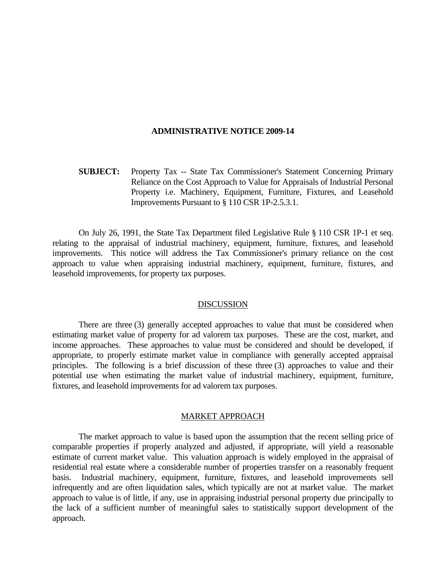### **ADMINISTRATIVE NOTICE 2009-14**

 **SUBJECT:** Property Tax -- State Tax Commissioner's Statement Concerning Primary Reliance on the Cost Approach to Value for Appraisals of Industrial Personal Property i.e. Machinery, Equipment, Furniture, Fixtures, and Leasehold Improvements Pursuant to § 110 CSR 1P-2.5.3.1.

 On July 26, 1991, the State Tax Department filed Legislative Rule § 110 CSR 1P-1 et seq. relating to the appraisal of industrial machinery, equipment, furniture, fixtures, and leasehold improvements. This notice will address the Tax Commissioner's primary reliance on the cost approach to value when appraising industrial machinery, equipment, furniture, fixtures, and leasehold improvements, for property tax purposes.

## **DISCUSSION**

 There are three (3) generally accepted approaches to value that must be considered when estimating market value of property for ad valorem tax purposes. These are the cost, market, and income approaches. These approaches to value must be considered and should be developed, if appropriate, to properly estimate market value in compliance with generally accepted appraisal principles. The following is a brief discussion of these three (3) approaches to value and their potential use when estimating the market value of industrial machinery, equipment, furniture, fixtures, and leasehold improvements for ad valorem tax purposes.

# MARKET APPROACH

 The market approach to value is based upon the assumption that the recent selling price of comparable properties if properly analyzed and adjusted, if appropriate, will yield a reasonable estimate of current market value. This valuation approach is widely employed in the appraisal of residential real estate where a considerable number of properties transfer on a reasonably frequent basis. Industrial machinery, equipment, furniture, fixtures, and leasehold improvements sell infrequently and are often liquidation sales, which typically are not at market value. The market approach to value is of little, if any, use in appraising industrial personal property due principally to the lack of a sufficient number of meaningful sales to statistically support development of the approach.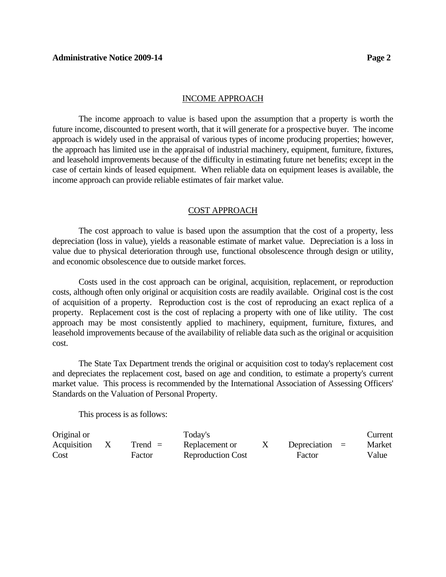### INCOME APPROACH

 The income approach to value is based upon the assumption that a property is worth the future income, discounted to present worth, that it will generate for a prospective buyer. The income approach is widely used in the appraisal of various types of income producing properties; however, the approach has limited use in the appraisal of industrial machinery, equipment, furniture, fixtures, and leasehold improvements because of the difficulty in estimating future net benefits; except in the case of certain kinds of leased equipment. When reliable data on equipment leases is available, the income approach can provide reliable estimates of fair market value.

# COST APPROACH

 The cost approach to value is based upon the assumption that the cost of a property, less depreciation (loss in value), yields a reasonable estimate of market value. Depreciation is a loss in value due to physical deterioration through use, functional obsolescence through design or utility, and economic obsolescence due to outside market forces.

 Costs used in the cost approach can be original, acquisition, replacement, or reproduction costs, although often only original or acquisition costs are readily available. Original cost is the cost of acquisition of a property. Reproduction cost is the cost of reproducing an exact replica of a property. Replacement cost is the cost of replacing a property with one of like utility. The cost approach may be most consistently applied to machinery, equipment, furniture, fixtures, and leasehold improvements because of the availability of reliable data such as the original or acquisition cost.

 The State Tax Department trends the original or acquisition cost to today's replacement cost and depreciates the replacement cost, based on age and condition, to estimate a property's current market value. This process is recommended by the International Association of Assessing Officers' Standards on the Valuation of Personal Property.

This process is as follows:

| Original or |           | Today's                  |                  | Current |
|-------------|-----------|--------------------------|------------------|---------|
| Acquisition | $Trend =$ | Replacement or           | Depreciation $=$ | Market  |
| Cost        | Factor    | <b>Reproduction Cost</b> | Factor           | Value   |